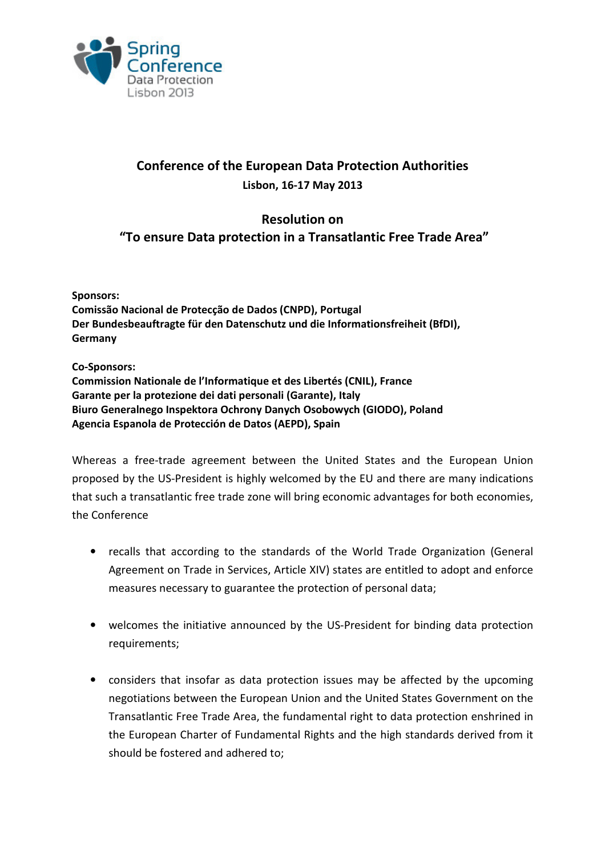

## Conference of the European Data Protection Authorities Lisbon, 16-17 May 2013

## Resolution on "To ensure Data protection in a Transatlantic Free Trade Area"

Sponsors:

Comissão Nacional de Protecção de Dados (CNPD), Portugal Der Bundesbeauftragte für den Datenschutz und die Informationsfreiheit (BfDI), **Germany** 

Co-Sponsors:

Commission Nationale de l'Informatique et des Libertés (CNIL), France Garante per la protezione dei dati personali (Garante), Italy Biuro Generalnego Inspektora Ochrony Danych Osobowych (GIODO), Poland Agencia Espanola de Protección de Datos (AEPD), Spain

Whereas a free-trade agreement between the United States and the European Union proposed by the US-President is highly welcomed by the EU and there are many indications that such a transatlantic free trade zone will bring economic advantages for both economies, the Conference

- recalls that according to the standards of the World Trade Organization (General Agreement on Trade in Services, Article XIV) states are entitled to adopt and enforce measures necessary to guarantee the protection of personal data;
- welcomes the initiative announced by the US-President for binding data protection requirements;
- considers that insofar as data protection issues may be affected by the upcoming negotiations between the European Union and the United States Government on the Transatlantic Free Trade Area, the fundamental right to data protection enshrined in the European Charter of Fundamental Rights and the high standards derived from it should be fostered and adhered to;